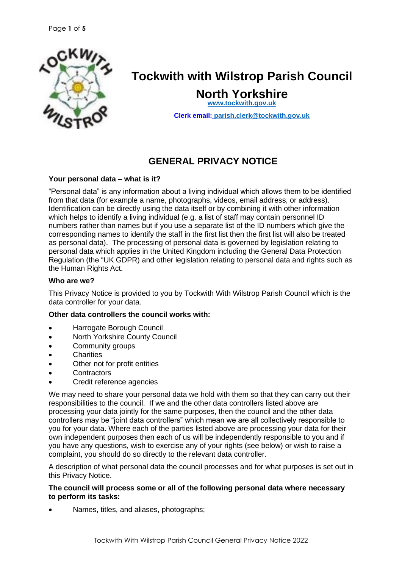

# **Tockwith with Wilstrop Parish Council**

**North Yorkshire [www.tockwith.gov.uk](http://www.tockwith.gov.uk/)**

**Clerk email: [parish.clerk@tockwith.gov.uk](mailto:parish.clerk@tockwith.gov.uk)**

# **GENERAL PRIVACY NOTICE**

# **Your personal data – what is it?**

"Personal data" is any information about a living individual which allows them to be identified from that data (for example a name, photographs, videos, email address, or address). Identification can be directly using the data itself or by combining it with other information which helps to identify a living individual (e.g. a list of staff may contain personnel ID numbers rather than names but if you use a separate list of the ID numbers which give the corresponding names to identify the staff in the first list then the first list will also be treated as personal data). The processing of personal data is governed by legislation relating to personal data which applies in the United Kingdom including the General Data Protection Regulation (the "UK GDPR) and other legislation relating to personal data and rights such as the Human Rights Act.

#### **Who are we?**

This Privacy Notice is provided to you by Tockwith With Wilstrop Parish Council which is the data controller for your data.

#### **Other data controllers the council works with:**

- Harrogate Borough Council
- North Yorkshire County Council
- Community groups
- **Charities**
- Other not for profit entities
- **Contractors**
- Credit reference agencies

We may need to share your personal data we hold with them so that they can carry out their responsibilities to the council. If we and the other data controllers listed above are processing your data jointly for the same purposes, then the council and the other data controllers may be "joint data controllers" which mean we are all collectively responsible to you for your data. Where each of the parties listed above are processing your data for their own independent purposes then each of us will be independently responsible to you and if you have any questions, wish to exercise any of your rights (see below) or wish to raise a complaint, you should do so directly to the relevant data controller.

A description of what personal data the council processes and for what purposes is set out in this Privacy Notice.

#### **The council will process some or all of the following personal data where necessary to perform its tasks:**

• Names, titles, and aliases, photographs;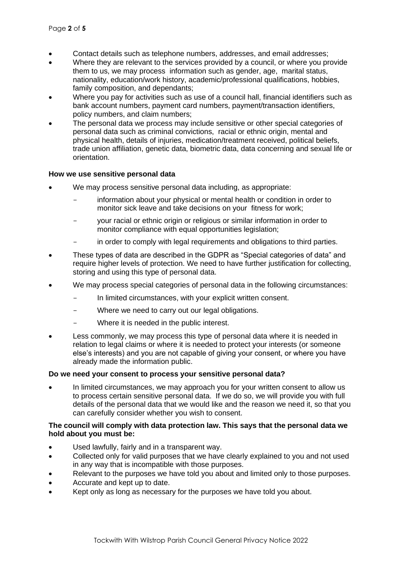- Contact details such as telephone numbers, addresses, and email addresses;
- Where they are relevant to the services provided by a council, or where you provide them to us, we may process information such as gender, age, marital status, nationality, education/work history, academic/professional qualifications, hobbies, family composition, and dependants;
- Where you pay for activities such as use of a council hall, financial identifiers such as bank account numbers, payment card numbers, payment/transaction identifiers, policy numbers, and claim numbers;
- The personal data we process may include sensitive or other special categories of personal data such as criminal convictions, racial or ethnic origin, mental and physical health, details of injuries, medication/treatment received, political beliefs, trade union affiliation, genetic data, biometric data, data concerning and sexual life or orientation.

#### **How we use sensitive personal data**

- We may process sensitive personal data including, as appropriate:
	- information about your physical or mental health or condition in order to monitor sick leave and take decisions on your fitness for work;
	- your racial or ethnic origin or religious or similar information in order to monitor compliance with equal opportunities legislation;
	- in order to comply with legal requirements and obligations to third parties.
- These types of data are described in the GDPR as "Special categories of data" and require higher levels of protection. We need to have further justification for collecting, storing and using this type of personal data.
- We may process special categories of personal data in the following circumstances:
	- In limited circumstances, with your explicit written consent.
	- Where we need to carry out our legal obligations.
	- Where it is needed in the public interest.
- Less commonly, we may process this type of personal data where it is needed in relation to legal claims or where it is needed to protect your interests (or someone else's interests) and you are not capable of giving your consent, or where you have already made the information public.

#### **Do we need your consent to process your sensitive personal data?**

• In limited circumstances, we may approach you for your written consent to allow us to process certain sensitive personal data. If we do so, we will provide you with full details of the personal data that we would like and the reason we need it, so that you can carefully consider whether you wish to consent.

#### **The council will comply with data protection law. This says that the personal data we hold about you must be:**

- Used lawfully, fairly and in a transparent way.
- Collected only for valid purposes that we have clearly explained to you and not used in any way that is incompatible with those purposes.
- Relevant to the purposes we have told you about and limited only to those purposes.
- Accurate and kept up to date.
- Kept only as long as necessary for the purposes we have told you about.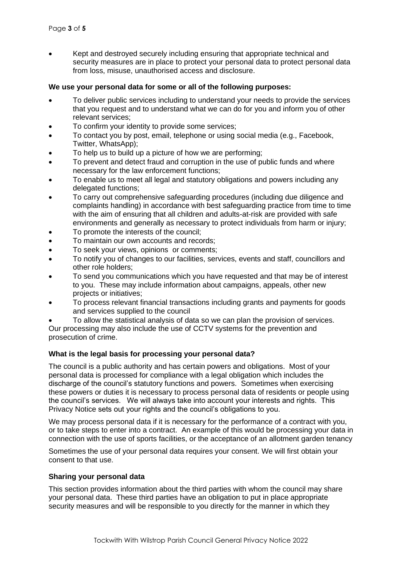• Kept and destroyed securely including ensuring that appropriate technical and security measures are in place to protect your personal data to protect personal data from loss, misuse, unauthorised access and disclosure.

#### **We use your personal data for some or all of the following purposes:**

- To deliver public services including to understand your needs to provide the services that you request and to understand what we can do for you and inform you of other relevant services;
- To confirm your identity to provide some services;
- To contact you by post, email, telephone or using social media (e.g., Facebook, Twitter, WhatsApp);
- To help us to build up a picture of how we are performing:
- To prevent and detect fraud and corruption in the use of public funds and where necessary for the law enforcement functions;
- To enable us to meet all legal and statutory obligations and powers including any delegated functions;
- To carry out comprehensive safeguarding procedures (including due diligence and complaints handling) in accordance with best safeguarding practice from time to time with the aim of ensuring that all children and adults-at-risk are provided with safe environments and generally as necessary to protect individuals from harm or injury;
- To promote the interests of the council:
- To maintain our own accounts and records;
- To seek your views, opinions or comments;
- To notify you of changes to our facilities, services, events and staff, councillors and other role holders;
- To send you communications which you have requested and that may be of interest to you. These may include information about campaigns, appeals, other new projects or initiatives;
- To process relevant financial transactions including grants and payments for goods and services supplied to the council
- To allow the statistical analysis of data so we can plan the provision of services.

Our processing may also include the use of CCTV systems for the prevention and prosecution of crime.

#### **What is the legal basis for processing your personal data?**

The council is a public authority and has certain powers and obligations. Most of your personal data is processed for compliance with a legal obligation which includes the discharge of the council's statutory functions and powers. Sometimes when exercising these powers or duties it is necessary to process personal data of residents or people using the council's services. We will always take into account your interests and rights. This Privacy Notice sets out your rights and the council's obligations to you.

We may process personal data if it is necessary for the performance of a contract with you, or to take steps to enter into a contract. An example of this would be processing your data in connection with the use of sports facilities, or the acceptance of an allotment garden tenancy

Sometimes the use of your personal data requires your consent. We will first obtain your consent to that use.

#### **Sharing your personal data**

This section provides information about the third parties with whom the council may share your personal data. These third parties have an obligation to put in place appropriate security measures and will be responsible to you directly for the manner in which they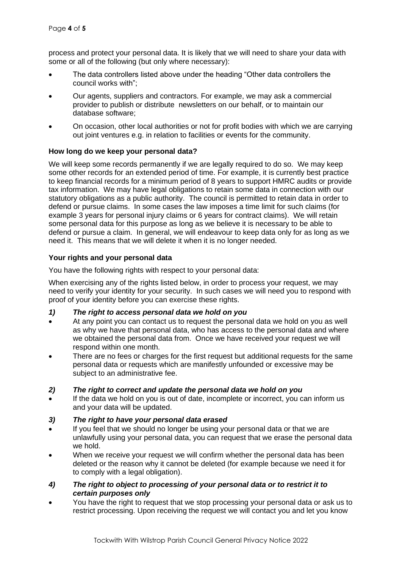process and protect your personal data. It is likely that we will need to share your data with some or all of the following (but only where necessary):

- The data controllers listed above under the heading "Other data controllers the council works with";
- Our agents, suppliers and contractors. For example, we may ask a commercial provider to publish or distribute newsletters on our behalf, or to maintain our database software;
- On occasion, other local authorities or not for profit bodies with which we are carrying out joint ventures e.g. in relation to facilities or events for the community.

# **How long do we keep your personal data?**

We will keep some records permanently if we are legally required to do so. We may keep some other records for an extended period of time. For example, it is currently best practice to keep financial records for a minimum period of 8 years to support HMRC audits or provide tax information. We may have legal obligations to retain some data in connection with our statutory obligations as a public authority. The council is permitted to retain data in order to defend or pursue claims. In some cases the law imposes a time limit for such claims (for example 3 years for personal injury claims or 6 years for contract claims). We will retain some personal data for this purpose as long as we believe it is necessary to be able to defend or pursue a claim. In general, we will endeavour to keep data only for as long as we need it. This means that we will delete it when it is no longer needed.

# **Your rights and your personal data**

You have the following rights with respect to your personal data:

When exercising any of the rights listed below, in order to process your request, we may need to verify your identity for your security. In such cases we will need you to respond with proof of your identity before you can exercise these rights.

- *1) The right to access personal data we hold on you*
- At any point you can contact us to request the personal data we hold on you as well as why we have that personal data, who has access to the personal data and where we obtained the personal data from. Once we have received your request we will respond within one month.
- There are no fees or charges for the first request but additional requests for the same personal data or requests which are manifestly unfounded or excessive may be subject to an administrative fee.
- *2) The right to correct and update the personal data we hold on you*
- If the data we hold on you is out of date, incomplete or incorrect, you can inform us and your data will be updated.

#### *3) The right to have your personal data erased*

- If you feel that we should no longer be using your personal data or that we are unlawfully using your personal data, you can request that we erase the personal data we hold.
- When we receive your request we will confirm whether the personal data has been deleted or the reason why it cannot be deleted (for example because we need it for to comply with a legal obligation).
- *4) The right to object to processing of your personal data or to restrict it to certain purposes only*
- You have the right to request that we stop processing your personal data or ask us to restrict processing. Upon receiving the request we will contact you and let you know